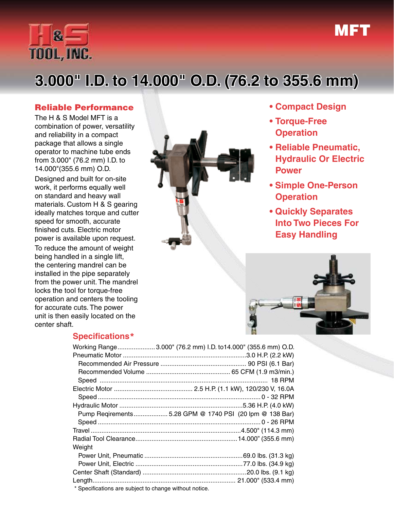

# **3.000" I.D. to 14.000" O.D. (76.2 to 355.6 mm)**

### Reliable Performance

The H & S Model MFT is a combination of power, versatility and reliability in a compact package that allows a single operator to machine tube ends from 3.000" (76.2 mm) I.D. to 14.000"(355.6 mm) O.D.

Designed and built for on-site work, it performs equally well on standard and heavy wall materials. Custom H & S gearing ideally matches torque and cutter speed for smooth, accurate finished cuts. Electric motor power is available upon request.

To reduce the amount of weight being handled in a single lift, the centering mandrel can be installed in the pipe separately from the power unit. The mandrel locks the tool for torque-free operation and centers the tooling for accurate cuts. The power unit is then easily located on the center shaft.



# **• Compact Design**

MFT

- **• Torque-Free Operation**
- **• Reliable Pneumatic, Hydraulic Or Electric Power**
- **Simple One-Person Operation**
- **Quickly Separates Into Two Pieces For Easy Handling**



### **Specifications**\*

|                                                        | Working Range 3.000" (76.2 mm) I.D. to14.000" (355.6 mm) O.D. |
|--------------------------------------------------------|---------------------------------------------------------------|
|                                                        |                                                               |
|                                                        |                                                               |
|                                                        |                                                               |
|                                                        |                                                               |
|                                                        |                                                               |
|                                                        |                                                               |
|                                                        |                                                               |
|                                                        | Pump Reqirements 5.28 GPM @ 1740 PSI (20 lpm @ 138 Bar)       |
|                                                        |                                                               |
|                                                        |                                                               |
|                                                        |                                                               |
| Weight                                                 |                                                               |
|                                                        |                                                               |
|                                                        |                                                               |
|                                                        |                                                               |
|                                                        |                                                               |
| * Specifications are subject to change without notice. |                                                               |